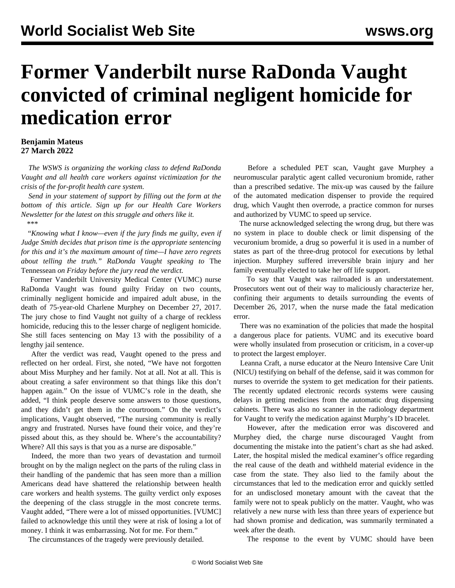## **Former Vanderbilt nurse RaDonda Vaught convicted of criminal negligent homicide for medication error**

## **Benjamin Mateus 27 March 2022**

 *The WSWS is organizing the working class to defend RaDonda Vaught and all health care workers against victimization for the crisis of the for-profit health care system.* 

 *Send in your statement of support by filling out the form at the bottom of this article. Sign up for our [Health Care Workers](/en/topics/healthCategory/US_Healthcare) [Newsletter](/en/topics/healthCategory/US_Healthcare) for the latest on this struggle and others like it. \*\*\**

 "*Knowing what I know—even if the jury finds me guilty, even if Judge Smith decides that prison time is the appropriate sentencing for this and it's the maximum amount of time—I have zero regrets about telling the truth." RaDonda Vaught speaking to* The Tennessean *on Friday before the jury read the verdict.*

 Former Vanderbilt University Medical Center (VUMC) nurse RaDonda Vaught was found guilty Friday on two counts, criminally negligent homicide and impaired adult abuse, in the death of 75-year-old Charlene Murphey on December 27, 2017. The jury chose to find Vaught not guilty of a charge of reckless homicide, reducing this to the lesser charge of negligent homicide. She still faces sentencing on May 13 with the possibility of a lengthy jail sentence.

 After the verdict was read, Vaught opened to the press and reflected on her ordeal. First, she noted, "We have not forgotten about Miss Murphey and her family. Not at all. Not at all. This is about creating a safer environment so that things like this don't happen again." On the issue of VUMC's role in the death, she added, "I think people deserve some answers to those questions, and they didn't get them in the courtroom." On the verdict's implications, Vaught observed, "The nursing community is really angry and frustrated. Nurses have found their voice, and they're pissed about this, as they should be. Where's the accountability? Where? All this says is that you as a nurse are disposable."

 Indeed, the more than two years of devastation and turmoil brought on by the malign neglect on the parts of the ruling class in their handling of the pandemic that has seen more than a million Americans dead have shattered the relationship between health care workers and health systems. The guilty verdict only exposes the deepening of the class struggle in the most concrete terms. Vaught added, "There were a lot of missed opportunities. [VUMC] failed to acknowledge this until they were at risk of losing a lot of money. I think it was embarrassing. Not for me. For them."

The circumstances of the [tragedy](/en/articles/2022/03/25/nurs-m25.html) were previously detailed.

 Before a scheduled PET scan, Vaught gave Murphey a neuromuscular paralytic agent called vecuronium bromide, rather than a prescribed sedative. The mix-up was caused by the failure of the automated medication dispenser to provide the required drug, which Vaught then overrode, a practice common for nurses and authorized by VUMC to speed up service.

 The nurse acknowledged selecting the wrong drug, but there was no system in place to double check or limit dispensing of the vecuronium bromide, a drug so powerful it is used in a number of states as part of the three-drug protocol for executions by lethal injection. Murphey suffered irreversible brain injury and her family eventually elected to take her off life support.

 To say that Vaught was railroaded is an understatement. Prosecutors went out of their way to maliciously characterize her, confining their arguments to details surrounding the events of December 26, 2017, when the nurse made the fatal medication error.

 There was no examination of the policies that made the hospital a dangerous place for patients. VUMC and its executive board were wholly insulated from prosecution or criticism, in a cover-up to protect the largest employer.

 Leanna Craft, a nurse educator at the Neuro Intensive Care Unit (NICU) testifying on behalf of the defense, said it was common for nurses to override the system to get medication for their patients. The recently updated electronic records systems were causing delays in getting medicines from the automatic drug dispensing cabinets. There was also no scanner in the radiology department for Vaught to verify the medication against Murphy's ID bracelet.

 However, after the medication error was discovered and Murphey died, the charge nurse discouraged Vaught from documenting the mistake into the patient's chart as she had asked. Later, the hospital misled the medical examiner's office regarding the real cause of the death and withheld material evidence in the case from the state. They also lied to the family about the circumstances that led to the medication error and quickly settled for an undisclosed monetary amount with the caveat that the family were not to speak publicly on the matter. Vaught, who was relatively a new nurse with less than three years of experience but had shown promise and dedication, was summarily terminated a week after the death.

The response to the event by VUMC should have been